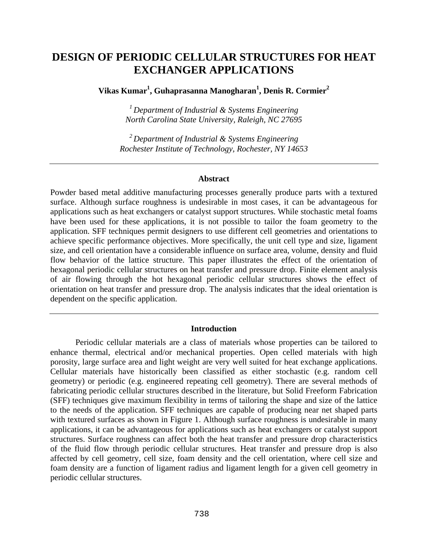# **DESIGN OF PERIODIC CELLULAR STRUCTURES FOR HEAT EXCHANGER APPLICATIONS**

**Vikas Kumar<sup>1</sup> , Guhaprasanna Manogharan<sup>1</sup> , Denis R. Cormier<sup>2</sup>**

*1 Department of Industrial & Systems Engineering North Carolina State University, Raleigh, NC 27695* 

*2 Department of Industrial & Systems Engineering Rochester Institute of Technology, Rochester, NY 14653* 

#### **Abstract**

Powder based metal additive manufacturing processes generally produce parts with a textured surface. Although surface roughness is undesirable in most cases, it can be advantageous for applications such as heat exchangers or catalyst support structures. While stochastic metal foams have been used for these applications, it is not possible to tailor the foam geometry to the application. SFF techniques permit designers to use different cell geometries and orientations to achieve specific performance objectives. More specifically, the unit cell type and size, ligament size, and cell orientation have a considerable influence on surface area, volume, density and fluid flow behavior of the lattice structure. This paper illustrates the effect of the orientation of hexagonal periodic cellular structures on heat transfer and pressure drop. Finite element analysis of air flowing through the hot hexagonal periodic cellular structures shows the effect of orientation on heat transfer and pressure drop. The analysis indicates that the ideal orientation is dependent on the specific application.

### **Introduction**

Periodic cellular materials are a class of materials whose properties can be tailored to enhance thermal, electrical and/or mechanical properties. Open celled materials with high porosity, large surface area and light weight are very well suited for heat exchange applications. Cellular materials have historically been classified as either stochastic (e.g. random cell geometry) or periodic (e.g. engineered repeating cell geometry). There are several methods of fabricating periodic cellular structures described in the literature, but Solid Freeform Fabrication (SFF) techniques give maximum flexibility in terms of tailoring the shape and size of the lattice to the needs of the application. SFF techniques are capable of producing near net shaped parts with textured surfaces as shown in Figure 1. Although surface roughness is undesirable in many applications, it can be advantageous for applications such as heat exchangers or catalyst support structures. Surface roughness can affect both the heat transfer and pressure drop characteristics of the fluid flow through periodic cellular structures. Heat transfer and pressure drop is also affected by cell geometry, cell size, foam density and the cell orientation, where cell size and foam density are a function of ligament radius and ligament length for a given cell geometry in periodic cellular structures.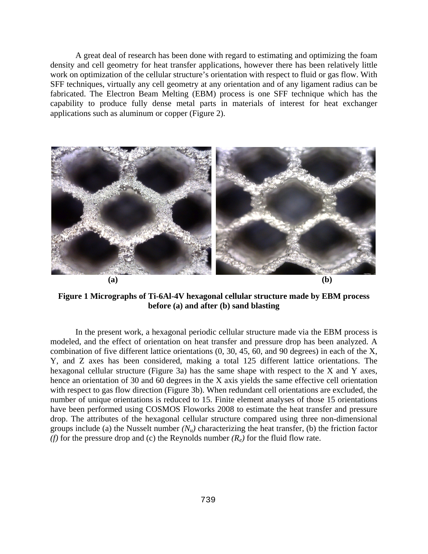A great deal of research has been done with regard to estimating and optimizing the foam density and cell geometry for heat transfer applications, however there has been relatively little work on optimization of the cellular structure's orientation with respect to fluid or gas flow. With SFF techniques, virtually any cell geometry at any orientation and of any ligament radius can be fabricated. The Electron Beam Melting (EBM) process is one SFF technique which has the capability to produce fully dense metal parts in materials of interest for heat exchanger applications such as aluminum or copper (Figure 2).



**Figure 1 Micrographs of Ti-6Al-4V hexagonal cellular structure made by EBM process before (a) and after (b) sand blasting** 

In the present work, a hexagonal periodic cellular structure made via the EBM process is modeled, and the effect of orientation on heat transfer and pressure drop has been analyzed. A combination of five different lattice orientations (0, 30, 45, 60, and 90 degrees) in each of the X, Y, and Z axes has been considered, making a total 125 different lattice orientations. The hexagonal cellular structure (Figure 3a) has the same shape with respect to the X and Y axes, hence an orientation of 30 and 60 degrees in the X axis yields the same effective cell orientation with respect to gas flow direction (Figure 3b). When redundant cell orientations are excluded, the number of unique orientations is reduced to 15. Finite element analyses of those 15 orientations have been performed using COSMOS Floworks 2008 to estimate the heat transfer and pressure drop. The attributes of the hexagonal cellular structure compared using three non-dimensional groups include (a) the Nusselt number  $(N_u)$  characterizing the heat transfer, (b) the friction factor *(f)* for the pressure drop and *(c)* the Reynolds number  $(R_e)$  for the fluid flow rate.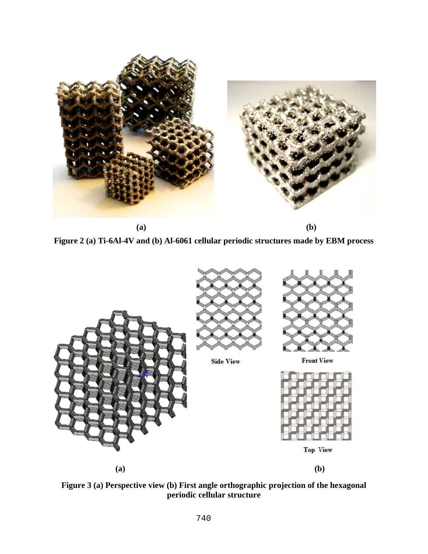

**Figure 2 (a) Ti-6Al-4V and (b) Al-6061 cellular periodic structures made by EBM process** 



**Figure 3 (a) Perspective view (b) First angle orthographic projection of the hexagonal periodic cellular structure**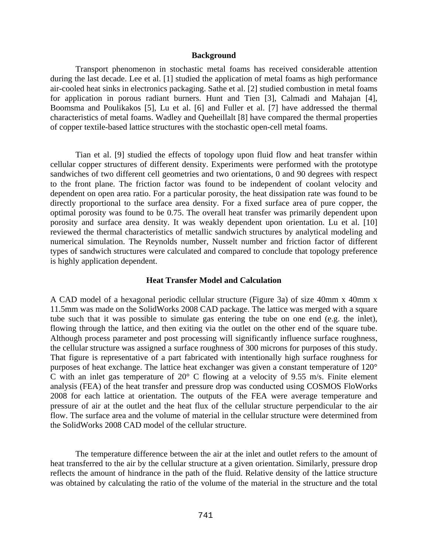## **Background**

Transport phenomenon in stochastic metal foams has received considerable attention during the last decade. Lee et al. [1] studied the application of metal foams as high performance air-cooled heat sinks in electronics packaging. Sathe et al. [2] studied combustion in metal foams for application in porous radiant burners. Hunt and Tien [3], Calmadi and Mahajan [4], Boomsma and Poulikakos [5], Lu et al. [6] and Fuller et al. [7] have addressed the thermal characteristics of metal foams. Wadley and Queheillalt [8] have compared the thermal properties of copper textile-based lattice structures with the stochastic open-cell metal foams.

Tian et al. [9] studied the effects of topology upon fluid flow and heat transfer within cellular copper structures of different density. Experiments were performed with the prototype sandwiches of two different cell geometries and two orientations, 0 and 90 degrees with respect to the front plane. The friction factor was found to be independent of coolant velocity and dependent on open area ratio. For a particular porosity, the heat dissipation rate was found to be directly proportional to the surface area density. For a fixed surface area of pure copper, the optimal porosity was found to be 0.75. The overall heat transfer was primarily dependent upon porosity and surface area density. It was weakly dependent upon orientation. Lu et al. [10] reviewed the thermal characteristics of metallic sandwich structures by analytical modeling and numerical simulation. The Reynolds number, Nusselt number and friction factor of different types of sandwich structures were calculated and compared to conclude that topology preference is highly application dependent.

# **Heat Transfer Model and Calculation**

A CAD model of a hexagonal periodic cellular structure (Figure 3a) of size 40mm x 40mm x 11.5mm was made on the SolidWorks 2008 CAD package. The lattice was merged with a square tube such that it was possible to simulate gas entering the tube on one end (e.g. the inlet), flowing through the lattice, and then exiting via the outlet on the other end of the square tube. Although process parameter and post processing will significantly influence surface roughness, the cellular structure was assigned a surface roughness of 300 microns for purposes of this study. That figure is representative of a part fabricated with intentionally high surface roughness for purposes of heat exchange. The lattice heat exchanger was given a constant temperature of 120° C with an inlet gas temperature of 20° C flowing at a velocity of 9.55 m/s. Finite element analysis (FEA) of the heat transfer and pressure drop was conducted using COSMOS FloWorks 2008 for each lattice at orientation. The outputs of the FEA were average temperature and pressure of air at the outlet and the heat flux of the cellular structure perpendicular to the air flow. The surface area and the volume of material in the cellular structure were determined from the SolidWorks 2008 CAD model of the cellular structure.

The temperature difference between the air at the inlet and outlet refers to the amount of heat transferred to the air by the cellular structure at a given orientation. Similarly, pressure drop reflects the amount of hindrance in the path of the fluid. Relative density of the lattice structure was obtained by calculating the ratio of the volume of the material in the structure and the total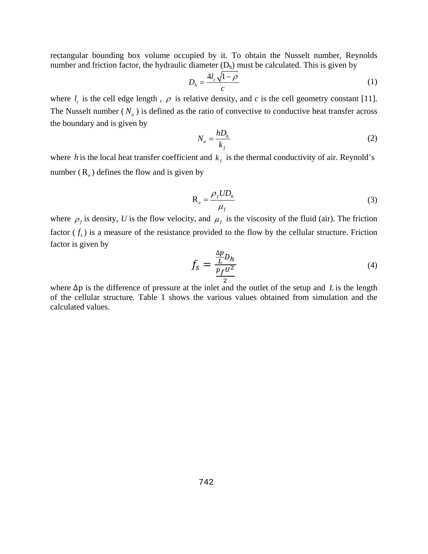rectangular bounding box volume occupied by it. To obtain the Nusselt number, Reynolds number and friction factor, the hydraulic diameter  $(D<sub>h</sub>)$  must be calculated. This is given by

$$
D_h = \frac{4l_c\sqrt{1-\rho}}{c} \tag{1}
$$

where  $l_c$  is the cell edge length,  $\rho$  is relative density, and *c* is the cell geometry constant [11]. The Nusselt number  $(N_u)$  is defined as the ratio of convective to conductive heat transfer across the boundary and is given by

$$
N_u = \frac{hD_h}{k_f} \tag{2}
$$

where *h* is the local heat transfer coefficient and  $k<sub>f</sub>$  is the thermal conductivity of air. Reynold's number  $(R_e)$  defines the flow and is given by

$$
R_e = \frac{\rho_f U D_h}{\mu_f} \tag{3}
$$

where  $\rho_f$  is density, *U* is the flow velocity, and  $\mu_f$  is the viscosity of the fluid (air). The friction factor  $(f_s)$  is a measure of the resistance provided to the flow by the cellular structure. Friction factor is given by

$$
f_s = \frac{\frac{\Delta p}{L} D_h}{\frac{p_f U^2}{2}}\tag{4}
$$

where ∆p is the difference of pressure at the inlet and the outlet of the setup and *L* is the length of the cellular structure. Table 1 shows the various values obtained from simulation and the calculated values.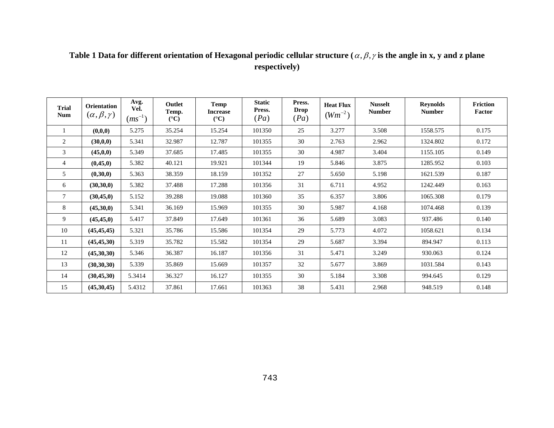# Table 1 Data for different orientation of Hexagonal periodic cellular structure (*α, β, γ* is the angle in x, y and z plane **respectively)**

| <b>Trial</b><br><b>Num</b> | Orientation<br>$(\alpha, \beta, \gamma)$ | Avg.<br>Vel.<br>$(ms^{-1})$ | Outlet<br>Temp.<br>$({}^{\circ}C)$ | <b>Temp</b><br><b>Increase</b><br>$({}^{\circ}C)$ | <b>Static</b><br>Press.<br>(Pa) | Press.<br><b>Drop</b><br>(Pa) | <b>Heat Flux</b><br>$(Wm^{-2})$ | <b>Nusselt</b><br><b>Number</b> | <b>Reynolds</b><br><b>Number</b> | <b>Friction</b><br>Factor |
|----------------------------|------------------------------------------|-----------------------------|------------------------------------|---------------------------------------------------|---------------------------------|-------------------------------|---------------------------------|---------------------------------|----------------------------------|---------------------------|
|                            | (0,0,0)                                  | 5.275                       | 35.254                             | 15.254                                            | 101350                          | 25                            | 3.277                           | 3.508                           | 1558.575                         | 0.175                     |
| 2                          | (30,0,0)                                 | 5.341                       | 32.987                             | 12.787                                            | 101355                          | 30                            | 2.763                           | 2.962                           | 1324.802                         | 0.172                     |
| 3                          | (45, 0, 0)                               | 5.349                       | 37.685                             | 17.485                                            | 101355                          | 30                            | 4.987                           | 3.404                           | 1155.105                         | 0.149                     |
| $\overline{4}$             | (0, 45, 0)                               | 5.382                       | 40.121                             | 19.921                                            | 101344                          | 19                            | 5.846                           | 3.875                           | 1285.952                         | 0.103                     |
| 5                          | (0,30,0)                                 | 5.363                       | 38.359                             | 18.159                                            | 101352                          | 27                            | 5.650                           | 5.198                           | 1621.539                         | 0.187                     |
| 6                          | (30,30,0)                                | 5.382                       | 37.488                             | 17.288                                            | 101356                          | 31                            | 6.711                           | 4.952                           | 1242.449                         | 0.163                     |
| $\tau$                     | (30, 45, 0)                              | 5.152                       | 39.288                             | 19.088                                            | 101360                          | 35                            | 6.357                           | 3.806                           | 1065.308                         | 0.179                     |
| 8                          | (45,30,0)                                | 5.341                       | 36.169                             | 15.969                                            | 101355                          | 30                            | 5.987                           | 4.168                           | 1074.468                         | 0.139                     |
| 9                          | (45, 45, 0)                              | 5.417                       | 37.849                             | 17.649                                            | 101361                          | 36                            | 5.689                           | 3.083                           | 937.486                          | 0.140                     |
| 10                         | (45, 45, 45)                             | 5.321                       | 35.786                             | 15.586                                            | 101354                          | 29                            | 5.773                           | 4.072                           | 1058.621                         | 0.134                     |
| 11                         | (45, 45, 30)                             | 5.319                       | 35.782                             | 15.582                                            | 101354                          | 29                            | 5.687                           | 3.394                           | 894.947                          | 0.113                     |
| 12                         | (45,30,30)                               | 5.346                       | 36.387                             | 16.187                                            | 101356                          | 31                            | 5.471                           | 3.249                           | 930.063                          | 0.124                     |
| 13                         | (30, 30, 30)                             | 5.339                       | 35.869                             | 15.669                                            | 101357                          | 32                            | 5.677                           | 3.869                           | 1031.584                         | 0.143                     |
| 14                         | (30, 45, 30)                             | 5.3414                      | 36.327                             | 16.127                                            | 101355                          | 30                            | 5.184                           | 3.308                           | 994.645                          | 0.129                     |
| 15                         | (45,30,45)                               | 5.4312                      | 37.861                             | 17.661                                            | 101363                          | 38                            | 5.431                           | 2.968                           | 948.519                          | 0.148                     |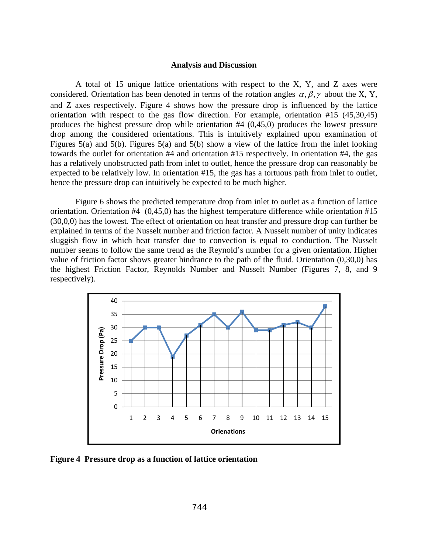## **Analysis and Discussion**

A total of 15 unique lattice orientations with respect to the X, Y, and Z axes were considered. Orientation has been denoted in terms of the rotation angles  $\alpha, \beta, \gamma$  about the X, Y, and Z axes respectively. Figure 4 shows how the pressure drop is influenced by the lattice orientation with respect to the gas flow direction. For example, orientation #15 (45,30,45) produces the highest pressure drop while orientation #4 (0,45,0) produces the lowest pressure drop among the considered orientations. This is intuitively explained upon examination of Figures 5(a) and 5(b). Figures 5(a) and 5(b) show a view of the lattice from the inlet looking towards the outlet for orientation #4 and orientation #15 respectively. In orientation #4, the gas has a relatively unobstructed path from inlet to outlet, hence the pressure drop can reasonably be expected to be relatively low. In orientation #15, the gas has a tortuous path from inlet to outlet, hence the pressure drop can intuitively be expected to be much higher.

Figure 6 shows the predicted temperature drop from inlet to outlet as a function of lattice orientation. Orientation #4 (0,45,0) has the highest temperature difference while orientation #15 (30,0,0) has the lowest. The effect of orientation on heat transfer and pressure drop can further be explained in terms of the Nusselt number and friction factor. A Nusselt number of unity indicates sluggish flow in which heat transfer due to convection is equal to conduction. The Nusselt number seems to follow the same trend as the Reynold's number for a given orientation. Higher value of friction factor shows greater hindrance to the path of the fluid. Orientation (0,30,0) has the highest Friction Factor, Reynolds Number and Nusselt Number (Figures 7, 8, and 9 respectively).



**Figure 4 Pressure drop as a function of lattice orientation**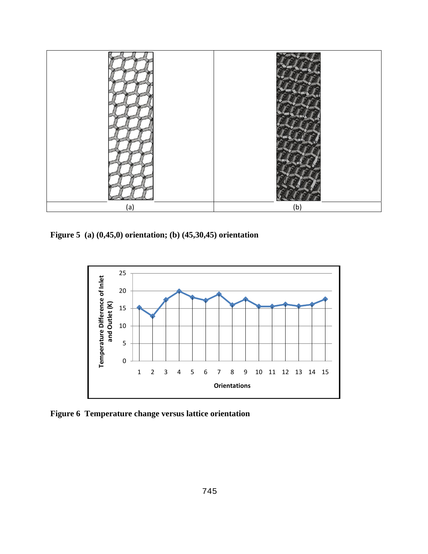

**Figure 5 (a) (0,45,0) orientation; (b) (45,30,45) orientation** 



**Figure 6 Temperature change versus lattice orientation**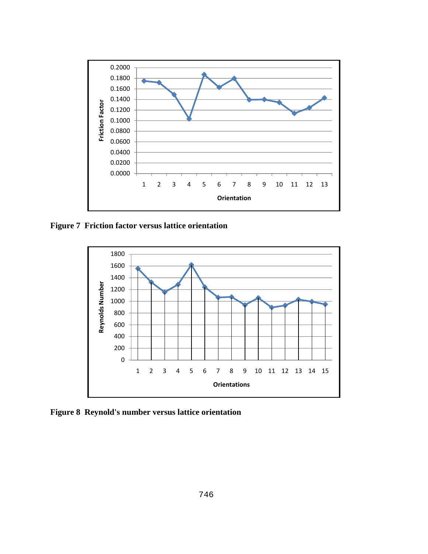

**Figure 7 Friction factor versus lattice orientation** 



**Figure 8 Reynold's number versus lattice orientation**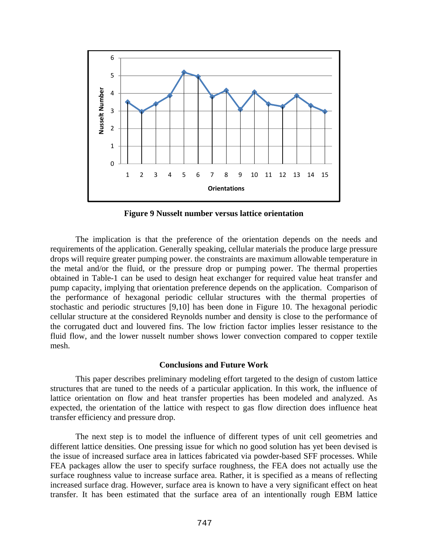

**Figure 9 Nusselt number versus lattice orientation** 

The implication is that the preference of the orientation depends on the needs and requirements of the application. Generally speaking, cellular materials the produce large pressure drops will require greater pumping power. the constraints are maximum allowable temperature in the metal and/or the fluid, or the pressure drop or pumping power. The thermal properties obtained in Table-1 can be used to design heat exchanger for required value heat transfer and pump capacity, implying that orientation preference depends on the application. Comparison of the performance of hexagonal periodic cellular structures with the thermal properties of stochastic and periodic structures [9,10] has been done in Figure 10. The hexagonal periodic cellular structure at the considered Reynolds number and density is close to the performance of the corrugated duct and louvered fins. The low friction factor implies lesser resistance to the fluid flow, and the lower nusselt number shows lower convection compared to copper textile mesh.

# **Conclusions and Future Work**

This paper describes preliminary modeling effort targeted to the design of custom lattice structures that are tuned to the needs of a particular application. In this work, the influence of lattice orientation on flow and heat transfer properties has been modeled and analyzed. As expected, the orientation of the lattice with respect to gas flow direction does influence heat transfer efficiency and pressure drop.

The next step is to model the influence of different types of unit cell geometries and different lattice densities. One pressing issue for which no good solution has yet been devised is the issue of increased surface area in lattices fabricated via powder-based SFF processes. While FEA packages allow the user to specify surface roughness, the FEA does not actually use the surface roughness value to increase surface area. Rather, it is specified as a means of reflecting increased surface drag. However, surface area is known to have a very significant effect on heat transfer. It has been estimated that the surface area of an intentionally rough EBM lattice